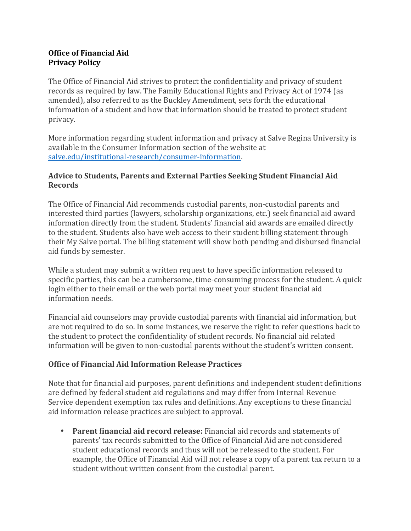### **Office of Financial Aid Privacy Policy**

The Office of Financial Aid strives to protect the confidentiality and privacy of student records as required by law. The Family Educational Rights and Privacy Act of 1974 (as amended), also referred to as the Buckley Amendment, sets forth the educational information of a student and how that information should be treated to protect student privacy.

More information regarding student information and privacy at Salve Regina University is available in the Consumer Information section of the website at salve.edu/institutional-research/consumer-information.

#### Advice to Students, Parents and External Parties Seeking Student Financial Aid **Records**

The Office of Financial Aid recommends custodial parents, non-custodial parents and interested third parties (lawyers, scholarship organizations, etc.) seek financial aid award information directly from the student. Students' financial aid awards are emailed directly to the student. Students also have web access to their student billing statement through their My Salve portal. The billing statement will show both pending and disbursed financial aid funds by semester.

While a student may submit a written request to have specific information released to specific parties, this can be a cumbersome, time-consuming process for the student. A quick login either to their email or the web portal may meet your student financial aid information needs.

Financial aid counselors may provide custodial parents with financial aid information, but are not required to do so. In some instances, we reserve the right to refer questions back to the student to protect the confidentiality of student records. No financial aid related information will be given to non-custodial parents without the student's written consent.

## **Office of Financial Aid Information Release Practices**

Note that for financial aid purposes, parent definitions and independent student definitions are defined by federal student aid regulations and may differ from Internal Revenue Service dependent exemption tax rules and definitions. Any exceptions to these financial aid information release practices are subject to approval.

• **Parent financial aid record release:** Financial aid records and statements of parents' tax records submitted to the Office of Financial Aid are not considered student educational records and thus will not be released to the student. For example, the Office of Financial Aid will not release a copy of a parent tax return to a student without written consent from the custodial parent.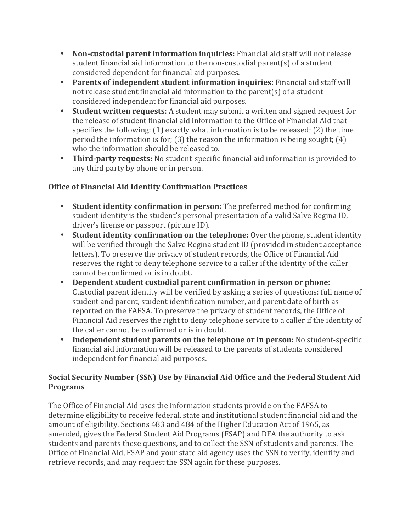- Non-custodial parent information inquiries: Financial aid staff will not release student financial aid information to the non-custodial parent(s) of a student considered dependent for financial aid purposes.
- Parents of independent student information inquiries: Financial aid staff will not release student financial aid information to the parent(s) of a student considered independent for financial aid purposes.
- **Student written requests:** A student may submit a written and signed request for the release of student financial aid information to the Office of Financial Aid that specifies the following:  $(1)$  exactly what information is to be released;  $(2)$  the time period the information is for; (3) the reason the information is being sought; (4) who the information should be released to.
- Third-party requests: No student-specific financial aid information is provided to any third party by phone or in person.

# **Office of Financial Aid Identity Confirmation Practices**

- Student identity confirmation in person: The preferred method for confirming student identity is the student's personal presentation of a valid Salve Regina ID, driver's license or passport (picture ID).
- Student identity confirmation on the telephone: Over the phone, student identity will be verified through the Salve Regina student ID (provided in student acceptance letters). To preserve the privacy of student records, the Office of Financial Aid reserves the right to deny telephone service to a caller if the identity of the caller cannot be confirmed or is in doubt.
- Dependent student custodial parent confirmation in person or phone: Custodial parent identity will be verified by asking a series of questions: full name of student and parent, student identification number, and parent date of birth as reported on the FAFSA. To preserve the privacy of student records, the Office of Financial Aid reserves the right to deny telephone service to a caller if the identity of the caller cannot be confirmed or is in doubt.
- Independent student parents on the telephone or in person: No student-specific financial aid information will be released to the parents of students considered independent for financial aid purposes.

# **Social Security Number (SSN) Use by Financial Aid Office and the Federal Student Aid Programs**

The Office of Financial Aid uses the information students provide on the FAFSA to determine eligibility to receive federal, state and institutional student financial aid and the amount of eligibility. Sections 483 and 484 of the Higher Education Act of 1965, as amended, gives the Federal Student Aid Programs (FSAP) and DFA the authority to ask students and parents these questions, and to collect the SSN of students and parents. The Office of Financial Aid, FSAP and your state aid agency uses the SSN to verify, identify and retrieve records, and may request the SSN again for these purposes.